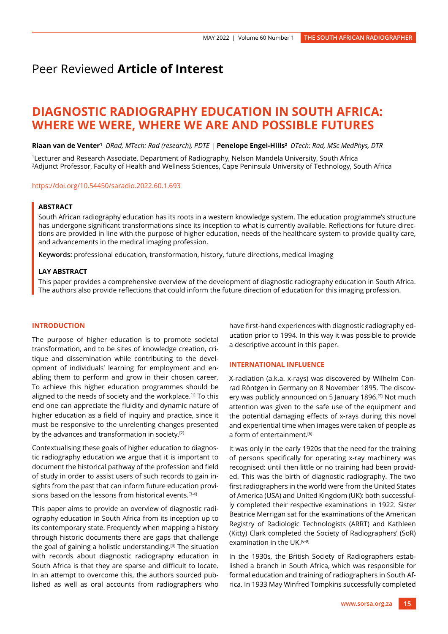# Peer Reviewed **Article of Interest**

# **DIAGNOSTIC RADIOGRAPHY EDUCATION IN SOUTH AFRICA: WHERE WE WERE, WHERE WE ARE AND POSSIBLE FUTURES**

**Riaan van de Venter1** *DRad, MTech: Rad (research), PDTE* | **Penelope Engel-Hills2** *DTech: Rad, MSc MedPhys, DTR*

1Lecturer and Research Associate, Department of Radiography, Nelson Mandela University, South Africa 2Adjunct Professor, Faculty of Health and Wellness Sciences, Cape Peninsula University of Technology, South Africa

<https://doi.org/10.54450/saradio.2022.60.1.693>

## **ABSTRACT**

South African radiography education has its roots in a western knowledge system. The education programme's structure has undergone significant transformations since its inception to what is currently available. Reflections for future directions are provided in line with the purpose of higher education, needs of the healthcare system to provide quality care, and advancements in the medical imaging profession.

**Keywords:** professional education, transformation, history, future directions, medical imaging

#### **LAY ABSTRACT**

This paper provides a comprehensive overview of the development of diagnostic radiography education in South Africa. The authors also provide reflections that could inform the future direction of education for this imaging profession.

## **INTRODUCTION**

The purpose of higher education is to promote societal transformation, and to be sites of knowledge creation, critique and dissemination while contributing to the development of individuals' learning for employment and enabling them to perform and grow in their chosen career. To achieve this higher education programmes should be aligned to the needs of society and the workplace.[1] To this end one can appreciate the fluidity and dynamic nature of higher education as a field of inquiry and practice, since it must be responsive to the unrelenting changes presented by the advances and transformation in society.[2]

Contextualising these goals of higher education to diagnostic radiography education we argue that it is important to document the historical pathway of the profession and field of study in order to assist users of such records to gain insights from the past that can inform future education provisions based on the lessons from historical events.[3-4]

This paper aims to provide an overview of diagnostic radiography education in South Africa from its inception up to its contemporary state. Frequently when mapping a history through historic documents there are gaps that challenge the goal of gaining a holistic understanding.[3] The situation with records about diagnostic radiography education in South Africa is that they are sparse and difficult to locate. In an attempt to overcome this, the authors sourced published as well as oral accounts from radiographers who have first-hand experiences with diagnostic radiography education prior to 1994. In this way it was possible to provide a descriptive account in this paper.

#### **INTERNATIONAL INFLUENCE**

X-radiation (a.k.a. x-rays) was discovered by Wilhelm Conrad Röntgen in Germany on 8 November 1895. The discovery was publicly announced on 5 January 1896.<sup>[5]</sup> Not much attention was given to the safe use of the equipment and the potential damaging effects of x-rays during this novel and experiential time when images were taken of people as a form of entertainment.<sup>[5]</sup>

It was only in the early 1920s that the need for the training of persons specifically for operating x-ray machinery was recognised: until then little or no training had been provided. This was the birth of diagnostic radiography. The two first radiographers in the world were from the United States of America (USA) and United Kingdom (UK): both successfully completed their respective examinations in 1922. Sister Beatrice Merrigan sat for the examinations of the American Registry of Radiologic Technologists (ARRT) and Kathleen (Kitty) Clark completed the Society of Radiographers' (SoR) examination in the UK.<sup>[6-9]</sup>

In the 1930s, the British Society of Radiographers established a branch in South Africa, which was responsible for formal education and training of radiographers in South Africa. In 1933 May Winfred Tompkins successfully completed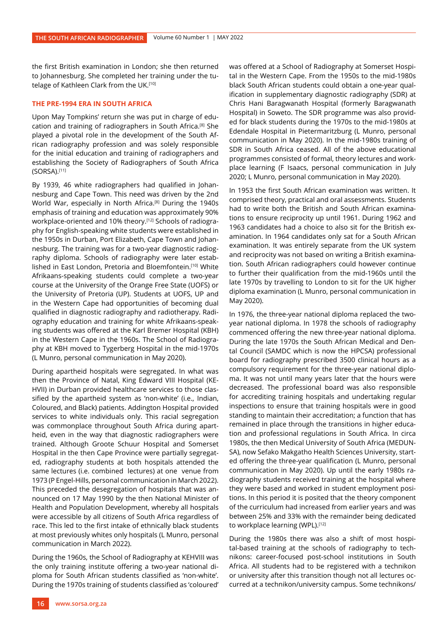the first British examination in London; she then returned to Johannesburg. She completed her training under the tutelage of Kathleen Clark from the UK.<sup>[10]</sup>

## **THE PRE-1994 ERA IN SOUTH AFRICA**

Upon May Tompkins' return she was put in charge of education and training of radiographers in South Africa.[8] She played a pivotal role in the development of the South African radiography profession and was solely responsible for the initial education and training of radiographers and establishing the Society of Radiographers of South Africa (SORSA).[11]

By 1939, 46 white radiographers had qualified in Johannesburg and Cape Town. This need was driven by the 2nd World War, especially in North Africa.[8] During the 1940s emphasis of training and education was approximately 90% workplace-oriented and 10% theory.[12] Schools of radiography for English-speaking white students were established in the 1950s in Durban, Port Elizabeth, Cape Town and Johannesburg. The training was for a two-year diagnostic radiography diploma. Schools of radiography were later established in East London, Pretoria and Bloemfontein.[10] White Afrikaans-speaking students could complete a two-year course at the University of the Orange Free State (UOFS) or the University of Pretoria (UP). Students at UOFS, UP and in the Western Cape had opportunities of becoming dual qualified in diagnostic radiography and radiotherapy. Radiography education and training for white Afrikaans-speaking students was offered at the Karl Bremer Hospital (KBH) in the Western Cape in the 1960s. The School of Radiography at KBH moved to Tygerberg Hospital in the mid-1970s (L Munro, personal communication in May 2020).

During apartheid hospitals were segregated. In what was then the Province of Natal, King Edward VIII Hospital (KE-HVII) in Durban provided healthcare services to those classified by the apartheid system as 'non-white' (i.e., Indian, Coloured, and Black) patients. Addington Hospital provided services to white individuals only. This racial segregation was commonplace throughout South Africa during apartheid, even in the way that diagnostic radiographers were trained. Although Groote Schuur Hospital and Somerset Hospital in the then Cape Province were partially segregated, radiography students at both hospitals attended the same lectures (i.e. combined lectures) at one venue from 1973 (P Engel-Hills, personal communication in March 2022). This preceded the desegregation of hospitals that was announced on 17 May 1990 by the then National Minister of Health and Population Development, whereby all hospitals were accessible by all citizens of South Africa regardless of race. This led to the first intake of ethnically black students at most previously whites only hospitals (L Munro, personal communication in March 2022).

During the 1960s, the School of Radiography at KEHVIII was the only training institute offering a two-year national diploma for South African students classified as 'non-white'. During the 1970s training of students classified as 'coloured' was offered at a School of Radiography at Somerset Hospital in the Western Cape. From the 1950s to the mid-1980s black South African students could obtain a one-year qualification in supplementary diagnostic radiography (SDR) at Chris Hani Baragwanath Hospital (formerly Baragwanath Hospital) in Soweto. The SDR programme was also provided for black students during the 1970s to the mid-1980s at Edendale Hospital in Pietermaritzburg (L Munro, personal communication in May 2020). In the mid-1980s training of SDR in South Africa ceased. All of the above educational programmes consisted of formal, theory lectures and workplace learning (F Isaacs, personal communication in July 2020; L Munro, personal communication in May 2020).

In 1953 the first South African examination was written. It comprised theory, practical and oral assessments. Students had to write both the British and South African examinations to ensure reciprocity up until 1961. During 1962 and 1963 candidates had a choice to also sit for the British examination. In 1964 candidates only sat for a South African examination. It was entirely separate from the UK system and reciprocity was not based on writing a British examination. South African radiographers could however continue to further their qualification from the mid-1960s until the late 1970s by travelling to London to sit for the UK higher diploma examination (L Munro, personal communication in May 2020).

In 1976, the three-year national diploma replaced the twoyear national diploma. In 1978 the schools of radiography commenced offering the new three-year national diploma. During the late 1970s the South African Medical and Dental Council (SAMDC which is now the HPCSA) professional board for radiography prescribed 3500 clinical hours as a compulsory requirement for the three-year national diploma. It was not until many years later that the hours were decreased. The professional board was also responsible for accrediting training hospitals and undertaking regular inspections to ensure that training hospitals were in good standing to maintain their accreditation; a function that has remained in place through the transitions in higher education and professional regulations in South Africa. In circa 1980s, the then Medical University of South Africa (MEDUN-SA), now Sefako Makgatho Health Sciences University, started offering the three-year qualification (L Munro, personal communication in May 2020). Up until the early 1980s radiography students received training at the hospital where they were based and worked in student employment positions. In this period it is posited that the theory component of the curriculum had increased from earlier years and was between 25% and 33% with the remainder being dedicated to workplace learning (WPL).[12]

During the 1980s there was also a shift of most hospital-based training at the schools of radiography to technikons: career-focused post-school institutions in South Africa. All students had to be registered with a technikon or university after this transition though not all lectures occurred at a technikon/university campus. Some technikons/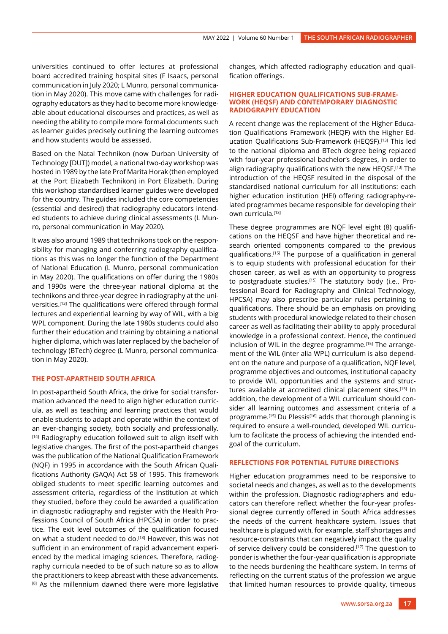universities continued to offer lectures at professional board accredited training hospital sites (F Isaacs, personal communication in July 2020; L Munro, personal communication in May 2020). This move came with challenges for radiography educators as they had to become more knowledgeable about educational discourses and practices, as well as needing the ability to compile more formal documents such as learner guides precisely outlining the learning outcomes and how students would be assessed.

Based on the Natal Technikon (now Durban University of Technology [DUT]) model, a national two-day workshop was hosted in 1989 by the late Prof Marita Horak (then employed at the Port Elizabeth Technikon) in Port Elizabeth. During this workshop standardised learner guides were developed for the country. The guides included the core competencies (essential and desired) that radiography educators intended students to achieve during clinical assessments (L Munro, personal communication in May 2020).

It was also around 1989 that technikons took on the responsibility for managing and conferring radiography qualifications as this was no longer the function of the Department of National Education (L Munro, personal communication in May 2020). The qualifications on offer during the 1980s and 1990s were the three-year national diploma at the technikons and three-year degree in radiography at the universities.[13] The qualifications were offered through formal lectures and experiential learning by way of WIL, with a big WPL component. During the late 1980s students could also further their education and training by obtaining a national higher diploma, which was later replaced by the bachelor of technology (BTech) degree (L Munro, personal communication in May 2020).

#### **THE POST-APARTHEID SOUTH AFRICA**

In post-apartheid South Africa, the drive for social transformation advanced the need to align higher education curricula, as well as teaching and learning practices that would enable students to adapt and operate within the context of an ever-changing society, both socially and professionally. [14] Radiography education followed suit to align itself with legislative changes. The first of the post-apartheid changes was the publication of the National Qualification Framework (NQF) in 1995 in accordance with the South African Qualifications Authority (SAQA) Act 58 of 1995. This framework obliged students to meet specific learning outcomes and assessment criteria, regardless of the institution at which they studied, before they could be awarded a qualification in diagnostic radiography and register with the Health Professions Council of South Africa (HPCSA) in order to practice. The exit level outcomes of the qualification focused on what a student needed to do.<sup>[13]</sup> However, this was not sufficient in an environment of rapid advancement experienced by the medical imaging sciences. Therefore, radiography curricula needed to be of such nature so as to allow the practitioners to keep abreast with these advancements. <sup>[8]</sup> As the millennium dawned there were more legislative

changes, which affected radiography education and qualification offerings.

#### **HIGHER EDUCATION QUALIFICATIONS SUB-FRAME-WORK (HEQSF) AND CONTEMPORARY DIAGNOSTIC RADIOGRAPHY EDUCATION**

A recent change was the replacement of the Higher Education Qualifications Framework (HEQF) with the Higher Education Qualifications Sub-Framework (HEQSF).[13] This led to the national diploma and BTech degree being replaced with four-year professional bachelor's degrees, in order to align radiography qualifications with the new HEQSF.<sup>[13]</sup> The introduction of the HEQSF resulted in the disposal of the standardised national curriculum for all institutions: each higher education institution (HEI) offering radiography-related programmes became responsible for developing their own curricula.[13]

These degree programmes are NQF level eight (8) qualifications on the HEQSF and have higher theoretical and research oriented components compared to the previous qualifications.[15] The purpose of a qualification in general is to equip students with professional education for their chosen career, as well as with an opportunity to progress to postgraduate studies.<sup>[15]</sup> The statutory body (i.e., Professional Board for Radiography and Clinical Technology, HPCSA) may also prescribe particular rules pertaining to qualifications. There should be an emphasis on providing students with procedural knowledge related to their chosen career as well as facilitating their ability to apply procedural knowledge in a professional context. Hence, the continued inclusion of WIL in the degree programme.<sup>[15]</sup> The arrangement of the WIL (inter alia WPL) curriculum is also dependent on the nature and purpose of a qualification, NQF level, programme objectives and outcomes, institutional capacity to provide WIL opportunities and the systems and structures available at accredited clinical placement sites.<sup>[15]</sup> In addition, the development of a WIL curriculum should consider all learning outcomes and assessment criteria of a programme.<sup>[15]</sup> Du Plessis<sup>[16]</sup> adds that thorough planning is required to ensure a well-rounded, developed WIL curriculum to facilitate the process of achieving the intended endgoal of the curriculum.

#### **REFLECTIONS FOR POTENTIAL FUTURE DIRECTIONS**

Higher education programmes need to be responsive to societal needs and changes, as well as to the developments within the profession. Diagnostic radiographers and educators can therefore reflect whether the four-year professional degree currently offered in South Africa addresses the needs of the current healthcare system. Issues that healthcare is plagued with, for example, staff shortages and resource-constraints that can negatively impact the quality of service delivery could be considered.<sup>[17]</sup> The question to ponder is whether the four-year qualification is appropriate to the needs burdening the healthcare system. In terms of reflecting on the current status of the profession we argue that limited human resources to provide quality, timeous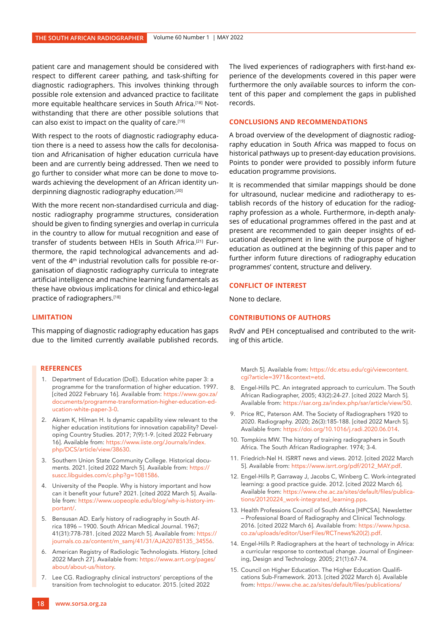patient care and management should be considered with respect to different career pathing, and task-shifting for diagnostic radiographers. This involves thinking through possible role extension and advanced practice to facilitate more equitable healthcare services in South Africa.[18] Notwithstanding that there are other possible solutions that can also exist to impact on the quality of care.[19]

With respect to the roots of diagnostic radiography education there is a need to assess how the calls for decolonisation and Africanisation of higher education curricula have been and are currently being addressed. Then we need to go further to consider what more can be done to move towards achieving the development of an African identity underpinning diagnostic radiography education.[20]

With the more recent non-standardised curricula and diagnostic radiography programme structures, consideration should be given to finding synergies and overlap in curricula in the country to allow for mutual recognition and ease of transfer of students between HEIs in South Africa.[21] Furthermore, the rapid technological advancements and advent of the 4<sup>th</sup> industrial revolution calls for possible re-organisation of diagnostic radiography curricula to integrate artificial intelligence and machine learning fundamentals as these have obvious implications for clinical and ethico-legal practice of radiographers.[18]

## **LIMITATION**

This mapping of diagnostic radiography education has gaps due to the limited currently available published records.

#### **REFERENCES**

- 1. Department of Education (DoE). Education white paper 3: a programme for the transformation of higher education. 1997. [cited 2022 February 16]. Available from: https://www.gov.za/ documents/programme-transformation-higher-education-education-white-paper-3-0.
- 2. Akram K, Hilman H. Is dynamic capability view relevant to the higher education institutions for innovation capability? Developing Country Studies. 2017; 7(9):1-9. [cited 2022 February 16]. Available from: https://www.iiste.org/Journals/index. php/DCS/article/view/38630.
- 3. Southern Union State Community College. Historical documents. 2021. [cited 2022 March 5]. Available from: https:// suscc.libguides.com/c.php?g=1081586.
- 4. University of the People. Why is history important and how can it benefit your future? 2021. [cited 2022 March 5]. Available from: https://www.uopeople.edu/blog/why-is-history-important/.
- 5. Bensusan AD. Early history of radiography in South Africa 1896 – 1900. South African Medical Journal. 1967; 41(31):778-781. [cited 2022 March 5]. Available from: https:// journals.co.za/content/m\_samj/41/31/AJA20785135\_34556.
- 6. American Registry of Radiologic Technologists. History. [cited 2022 March 27]. Available from: https://www.arrt.org/pages/ about/about-us/history.
- 7. Lee CG. Radiography clinical instructors' perceptions of the transition from technologist to educator. 2015. [cited 2022

The lived experiences of radiographers with first-hand experience of the developments covered in this paper were furthermore the only available sources to inform the content of this paper and complement the gaps in published records.

## **CONCLUSIONS AND RECOMMENDATIONS**

A broad overview of the development of diagnostic radiography education in South Africa was mapped to focus on historical pathways up to present-day education provisions. Points to ponder were provided to possibly inform future education programme provisions.

It is recommended that similar mappings should be done for ultrasound, nuclear medicine and radiotherapy to establish records of the history of education for the radiography profession as a whole. Furthermore, in-depth analyses of educational programmes offered in the past and at present are recommended to gain deeper insights of educational development in line with the purpose of higher education as outlined at the beginning of this paper and to further inform future directions of radiography education programmes' content, structure and delivery.

#### **CONFLICT OF INTEREST**

None to declare.

# **CONTRIBUTIONS OF AUTHORS**

RvdV and PEH conceptualised and contributed to the writing of this article.

March 5]. Available from: https://dc.etsu.edu/cgi/viewcontent. cgi?article=3971&context=etd.

- 8. Engel-Hills PC. An integrated approach to curriculum. The South African Radiographer, 2005; 43(2):24-27. [cited 2022 March 5]. Available from: https://sar.org.za/index.php/sar/article/view/50.
- 9. Price RC, Paterson AM. The Society of Radiographers 1920 to 2020. Radiography. 2020; 26(3):185-188. [cited 2022 March 5]. Available from: https://doi.org/10.1016/j.radi.2020.06.014.
- 10. Tompkins MW. The history of training radiographers in South Africa. The South African Radiographer. 1974; 3-4.
- 11. Friedrich-Nel H. ISRRT news and views. 2012. [cited 2022 March 5]. Available from: https://www.isrrt.org/pdf/2012\_MAY.pdf.
- 12. Engel-Hills P, Garraway J, Jacobs C, Winberg C. Work-integrated learning: a good practice guide. 2012. [cited 2022 March 6]. Available from: https://www.che.ac.za/sites/default/files/publications/20120224\_work-integrated\_learning.pps.
- 13. Health Professions Council of South Africa [HPCSA]. Newsletter – Professional Board of Radiography and Clinical Technology. 2016. [cited 2022 March 6]. Available from: https://www.hpcsa. co.za/uploads/editor/UserFiles/RCTnews%20(2).pdf.
- 14. Engel-Hills P. Radiographers at the heart of technology in Africa: a curricular response to contextual change. Journal of Engineering, Design and Technology. 2005; 21(1):67-74.
- 15. Council on Higher Education. The Higher Education Qualifications Sub-Framework. 2013. [cited 2022 March 6]. Available from: https://www.che.ac.za/sites/default/files/publications/